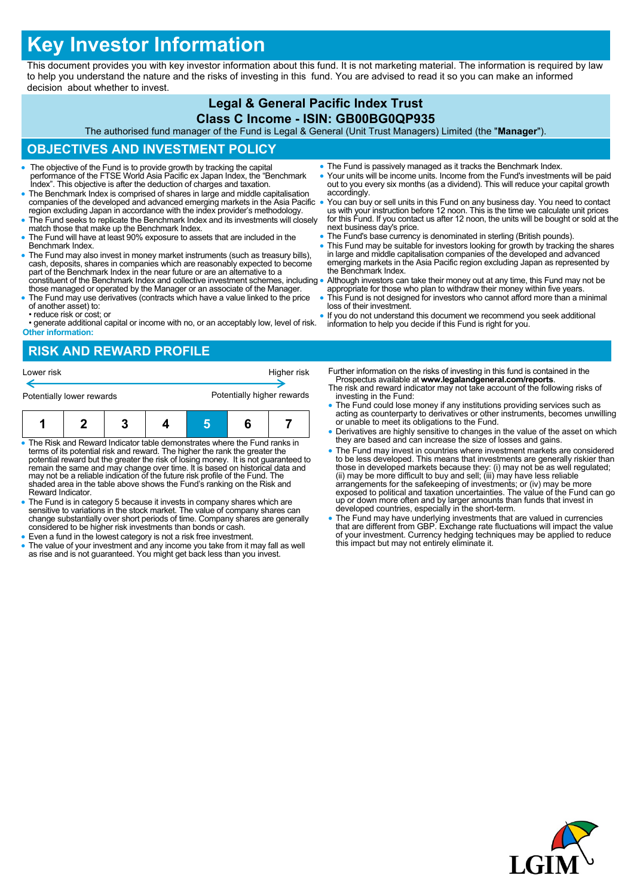# **Key Investor Information**

This document provides you with key investor information about this fund. It is not marketing material. The information is required by law to help you understand the nature and the risks of investing in this fund. You are advised to read it so you can make an informed decision about whether to invest.

#### **Legal & General Pacific Index Trust Class C Income - ISIN: GB00BG0QP935**

The authorised fund manager of the Fund is Legal & General (Unit Trust Managers) Limited (the "**Manager**").

## **OBJECTIVES AND INVESTMENT POLICY**

- The objective of the Fund is to provide growth by tracking the capital performance of the FTSE World Asia Pacific ex Japan Index, the "Benchmark Index". This objective is after the deduction of charges and taxation.
- The Benchmark Index is comprised of shares in large and middle capitalisation companies of the developed and advanced emerging markets in the Asia Pacific region excluding Japan in accordance with the index provider's methodology.
- The Fund seeks to replicate the Benchmark Index and its investments will closely match those that make up the Benchmark Index.
- The Fund will have at least 90% exposure to assets that are included in the Benchmark Index.
- The Fund may also invest in money market instruments (such as treasury bills), cash, deposits, shares in companies which are reasonably expected to become part of the Benchmark Index in the near future or are an alternat constituent of the Benchmark Index and collective investment schemes, including
- those managed or operated by the Manager or an associate of the Manager. The Fund may use derivatives (contracts which have a value linked to the price of another asset) to:
- reduce risk or cost; or

• generate additional capital or income with no, or an acceptably low, level of risk. **Other information:**

- The Fund is passively managed as it tracks the Benchmark Index.
- Your units will be income units. Income from the Fund's investments will be paid out to you every six months (as a dividend). This will reduce your capital growth accordingly.
- You can buy or sell units in this Fund on any business day. You need to contact us with your instruction before 12 noon. This is the time we calculate unit prices for this Fund. If you contact us after 12 noon, the units will be bought or sold at the next business day's price.
- The Fund's base currency is denominated in sterling (British pounds).
- This Fund may be suitable for investors looking for growth by tracking the shares in large and middle capitalisation companies of the developed and advanced emerging markets in the Asia Pacific region excluding Japan as represented by the Benchmark Index.
- Although investors can take their money out at any time, this Fund may not be appropriate for those who plan to withdraw their money within five years.
- This Fund is not designed for investors who cannot afford more than a minimal loss of their investment.
- If you do not understand this document we recommend you seek additional information to help you decide if this Fund is right for you.

# **RISK AND REWARD PROFILE**



- The Risk and Reward Indicator table demonstrates where the Fund ranks in terms of its potential risk and reward. The higher the rank the greater the potential reward but the greater the risk of losing money. It is not guaranteed to remain the same and may change over time. It is based on historical data and may not be a reliable indication of the future risk profile of the Fund. The shaded area in the table above shows the Fund's ranking on the Risk and Reward Indicator.
- The Fund is in category 5 because it invests in company shares which are sensitive to variations in the stock market. The value of company shares can change substantially over short periods of time. Company shares are generally considered to be higher risk investments than bonds or cash.
- Even a fund in the lowest category is not a risk free investment.
- The value of your investment and any income you take from it may fall as well as rise and is not guaranteed. You might get back less than you invest.
- Further information on the risks of investing in this fund is contained in the Prospectus available at **www.legalandgeneral.com/reports**.
- The risk and reward indicator may not take account of the following risks of investing in the Fund:
- The Fund could lose money if any institutions providing services such as acting as counterparty to derivatives or other instruments, becomes unwilling or unable to meet its obligations to the Fund.
- Derivatives are highly sensitive to changes in the value of the asset on which they are based and can increase the size of losses and gains.
- The Fund may invest in countries where investment markets are considered to be less developed. This means that investments are generally riskier than<br>those in developed markets because they: (i) may not be as well regulated;<br>(ii) may be more difficult to buy and sell; (iii) may have less reliab exposed to political and taxation uncertainties. The value of the Fund can go up or down more often and by larger amounts than funds that invest in developed countries, especially in the short-term.
- The Fund may have underlying investments that are valued in currencies that are different from GBP. Exchange rate fluctuations will impact the value of your investment. Currency hedging techniques may be applied to reduce this impact but may not entirely eliminate it.